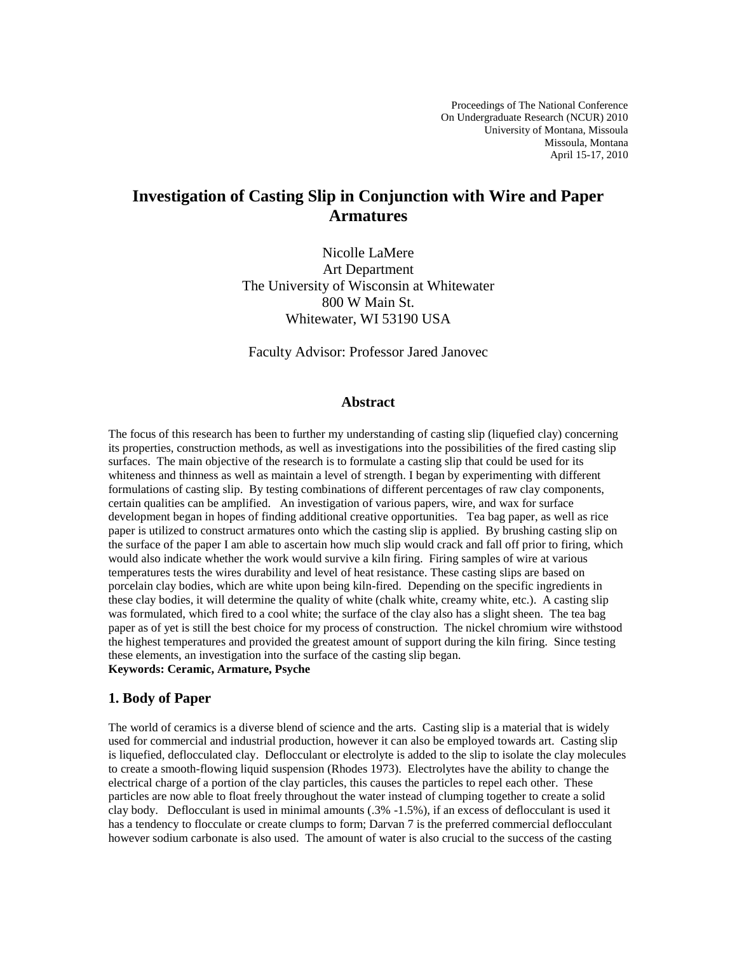## **Investigation of Casting Slip in Conjunction with Wire and Paper Armatures**

Nicolle LaMere Art Department The University of Wisconsin at Whitewater 800 W Main St. Whitewater, WI 53190 USA

Faculty Advisor: Professor Jared Janovec

#### **Abstract**

The focus of this research has been to further my understanding of casting slip (liquefied clay) concerning its properties, construction methods, as well as investigations into the possibilities of the fired casting slip surfaces. The main objective of the research is to formulate a casting slip that could be used for its whiteness and thinness as well as maintain a level of strength. I began by experimenting with different formulations of casting slip. By testing combinations of different percentages of raw clay components, certain qualities can be amplified. An investigation of various papers, wire, and wax for surface development began in hopes of finding additional creative opportunities. Tea bag paper, as well as rice paper is utilized to construct armatures onto which the casting slip is applied.By brushing casting slip on the surface of the paper I am able to ascertain how much slip would crack and fall off prior to firing, which would also indicate whether the work would survive a kiln firing. Firing samples of wire at various temperatures tests the wires durability and level of heat resistance. These casting slips are based on porcelain clay bodies, which are white upon being kiln-fired. Depending on the specific ingredients in these clay bodies, it will determine the quality of white (chalk white, creamy white, etc.). A casting slip was formulated, which fired to a cool white; the surface of the clay also has a slight sheen. The tea bag paper as of yet is still the best choice for my process of construction. The nickel chromium wire withstood the highest temperatures and provided the greatest amount of support during the kiln firing. Since testing these elements, an investigation into the surface of the casting slip began. **Keywords: Ceramic, Armature, Psyche** 

# **1. Body of Paper**

The world of ceramics is a diverse blend of science and the arts. Casting slip is a material that is widely used for commercial and industrial production, however it can also be employed towards art. Casting slip is liquefied, deflocculated clay. Deflocculant or electrolyte is added to the slip to isolate the clay molecules to create a smooth-flowing liquid suspension (Rhodes 1973). Electrolytes have the ability to change the electrical charge of a portion of the clay particles, this causes the particles to repel each other. These particles are now able to float freely throughout the water instead of clumping together to create a solid clay body. Deflocculant is used in minimal amounts (.3% -1.5%), if an excess of deflocculant is used it has a tendency to flocculate or create clumps to form; Darvan 7 is the preferred commercial deflocculant however sodium carbonate is also used. The amount of water is also crucial to the success of the casting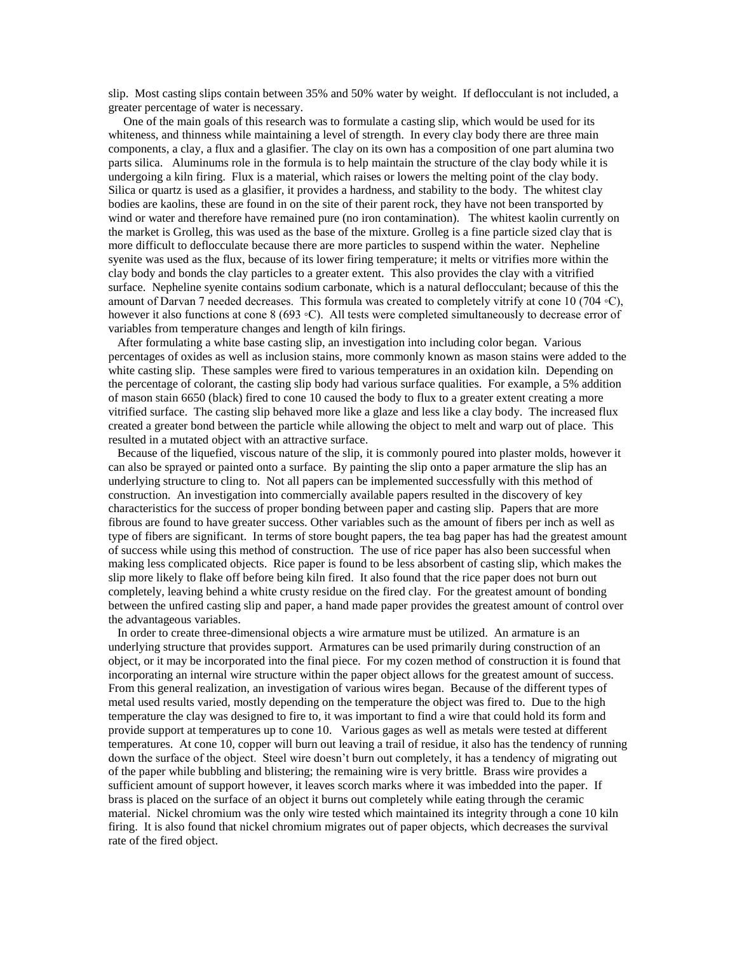slip. Most casting slips contain between 35% and 50% water by weight. If deflocculant is not included, a greater percentage of water is necessary.

 One of the main goals of this research was to formulate a casting slip, which would be used for its whiteness, and thinness while maintaining a level of strength. In every clay body there are three main components, a clay, a flux and a glasifier. The clay on its own has a composition of one part alumina two parts silica. Aluminums role in the formula is to help maintain the structure of the clay body while it is undergoing a kiln firing. Flux is a material, which raises or lowers the melting point of the clay body. Silica or quartz is used as a glasifier, it provides a hardness, and stability to the body. The whitest clay bodies are kaolins, these are found in on the site of their parent rock, they have not been transported by wind or water and therefore have remained pure (no iron contamination). The whitest kaolin currently on the market is Grolleg, this was used as the base of the mixture. Grolleg is a fine particle sized clay that is more difficult to deflocculate because there are more particles to suspend within the water. Nepheline syenite was used as the flux, because of its lower firing temperature; it melts or vitrifies more within the clay body and bonds the clay particles to a greater extent. This also provides the clay with a vitrified surface. Nepheline syenite contains sodium carbonate, which is a natural deflocculant; because of this the amount of Darvan 7 needed decreases. This formula was created to completely vitrify at cone 10 (704 ◦C), however it also functions at cone 8 (693 ◦C). All tests were completed simultaneously to decrease error of variables from temperature changes and length of kiln firings.

 After formulating a white base casting slip, an investigation into including color began. Various percentages of oxides as well as inclusion stains, more commonly known as mason stains were added to the white casting slip. These samples were fired to various temperatures in an oxidation kiln. Depending on the percentage of colorant, the casting slip body had various surface qualities. For example, a 5% addition of mason stain 6650 (black) fired to cone 10 caused the body to flux to a greater extent creating a more vitrified surface. The casting slip behaved more like a glaze and less like a clay body. The increased flux created a greater bond between the particle while allowing the object to melt and warp out of place. This resulted in a mutated object with an attractive surface.

 Because of the liquefied, viscous nature of the slip, it is commonly poured into plaster molds, however it can also be sprayed or painted onto a surface. By painting the slip onto a paper armature the slip has an underlying structure to cling to. Not all papers can be implemented successfully with this method of construction. An investigation into commercially available papers resulted in the discovery of key characteristics for the success of proper bonding between paper and casting slip. Papers that are more fibrous are found to have greater success. Other variables such as the amount of fibers per inch as well as type of fibers are significant. In terms of store bought papers, the tea bag paper has had the greatest amount of success while using this method of construction. The use of rice paper has also been successful when making less complicated objects. Rice paper is found to be less absorbent of casting slip, which makes the slip more likely to flake off before being kiln fired. It also found that the rice paper does not burn out completely, leaving behind a white crusty residue on the fired clay. For the greatest amount of bonding between the unfired casting slip and paper, a hand made paper provides the greatest amount of control over the advantageous variables.

 In order to create three-dimensional objects a wire armature must be utilized. An armature is an underlying structure that provides support. Armatures can be used primarily during construction of an object, or it may be incorporated into the final piece. For my cozen method of construction it is found that incorporating an internal wire structure within the paper object allows for the greatest amount of success. From this general realization, an investigation of various wires began. Because of the different types of metal used results varied, mostly depending on the temperature the object was fired to. Due to the high temperature the clay was designed to fire to, it was important to find a wire that could hold its form and provide support at temperatures up to cone 10. Various gages as well as metals were tested at different temperatures. At cone 10, copper will burn out leaving a trail of residue, it also has the tendency of running down the surface of the object. Steel wire doesn't burn out completely, it has a tendency of migrating out of the paper while bubbling and blistering; the remaining wire is very brittle. Brass wire provides a sufficient amount of support however, it leaves scorch marks where it was imbedded into the paper. If brass is placed on the surface of an object it burns out completely while eating through the ceramic material. Nickel chromium was the only wire tested which maintained its integrity through a cone 10 kiln firing. It is also found that nickel chromium migrates out of paper objects, which decreases the survival rate of the fired object.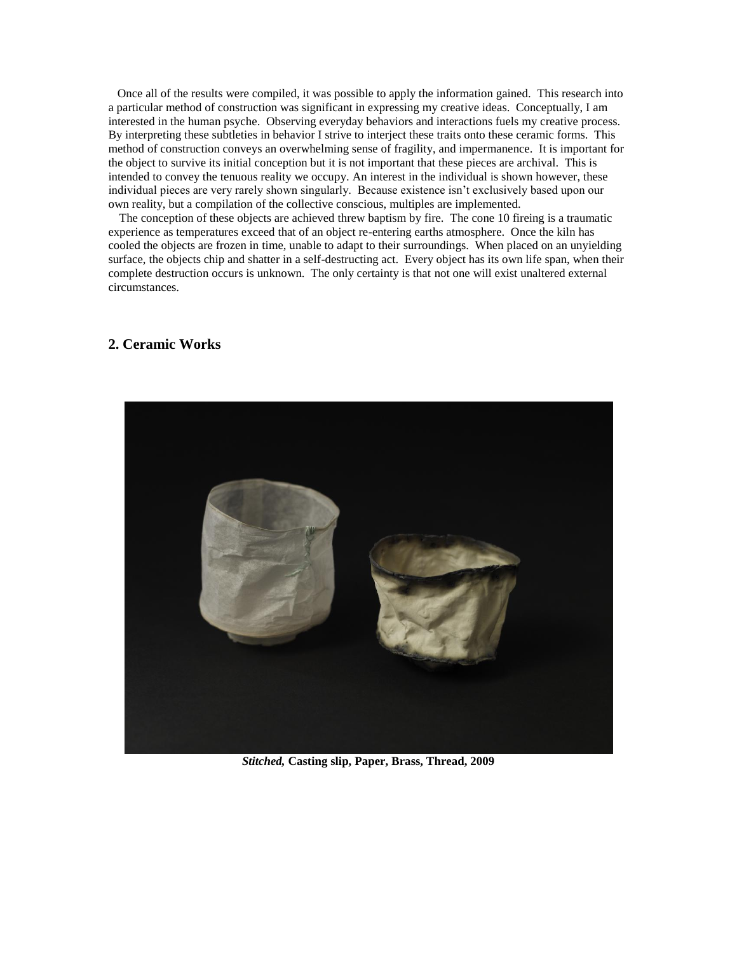Once all of the results were compiled, it was possible to apply the information gained. This research into a particular method of construction was significant in expressing my creative ideas. Conceptually, I am interested in the human psyche. Observing everyday behaviors and interactions fuels my creative process. By interpreting these subtleties in behavior I strive to interject these traits onto these ceramic forms. This method of construction conveys an overwhelming sense of fragility, and impermanence. It is important for the object to survive its initial conception but it is not important that these pieces are archival. This is intended to convey the tenuous reality we occupy. An interest in the individual is shown however, these individual pieces are very rarely shown singularly. Because existence isn't exclusively based upon our own reality, but a compilation of the collective conscious, multiples are implemented.

The conception of these objects are achieved threw baptism by fire. The cone 10 fireing is a traumatic experience as temperatures exceed that of an object re-entering earths atmosphere. Once the kiln has cooled the objects are frozen in time, unable to adapt to their surroundings. When placed on an unyielding surface, the objects chip and shatter in a self-destructing act. Every object has its own life span, when their complete destruction occurs is unknown. The only certainty is that not one will exist unaltered external circumstances.

#### **2. Ceramic Works**



*Stitched,* **Casting slip, Paper, Brass, Thread, 2009**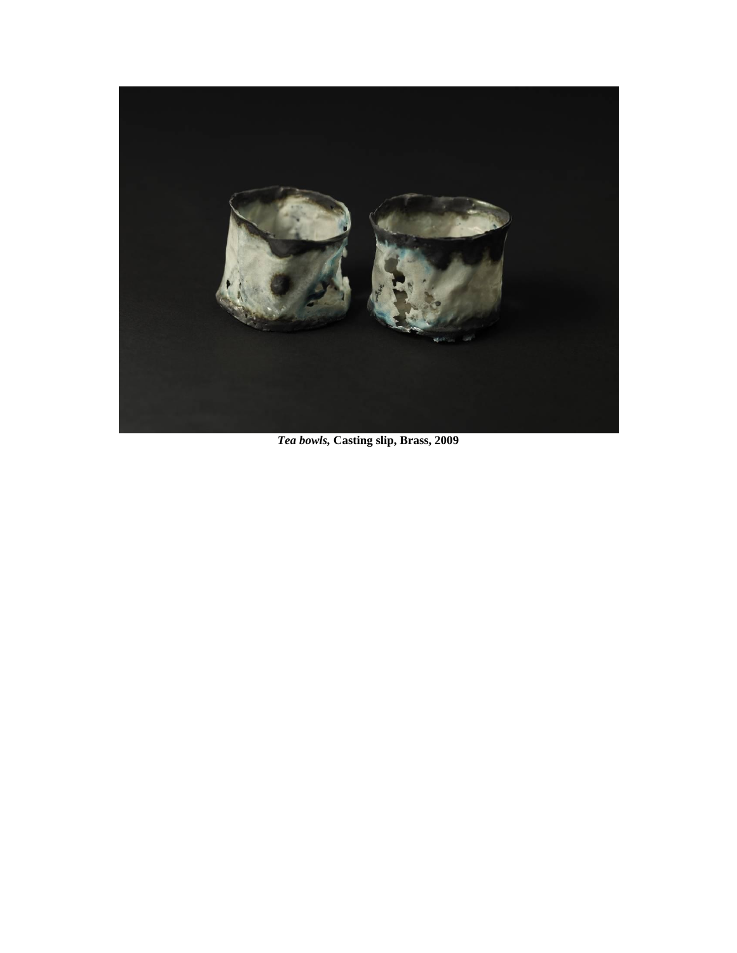

*Tea bowls,* **Casting slip, Brass, 2009**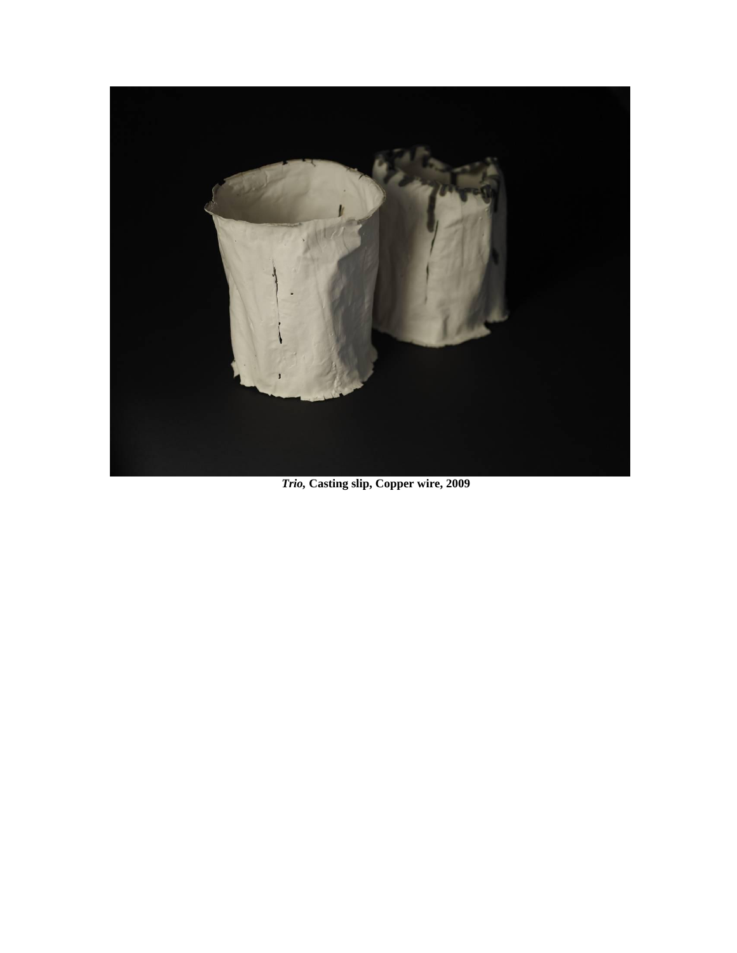

*Trio,* **Casting slip, Copper wire, 2009**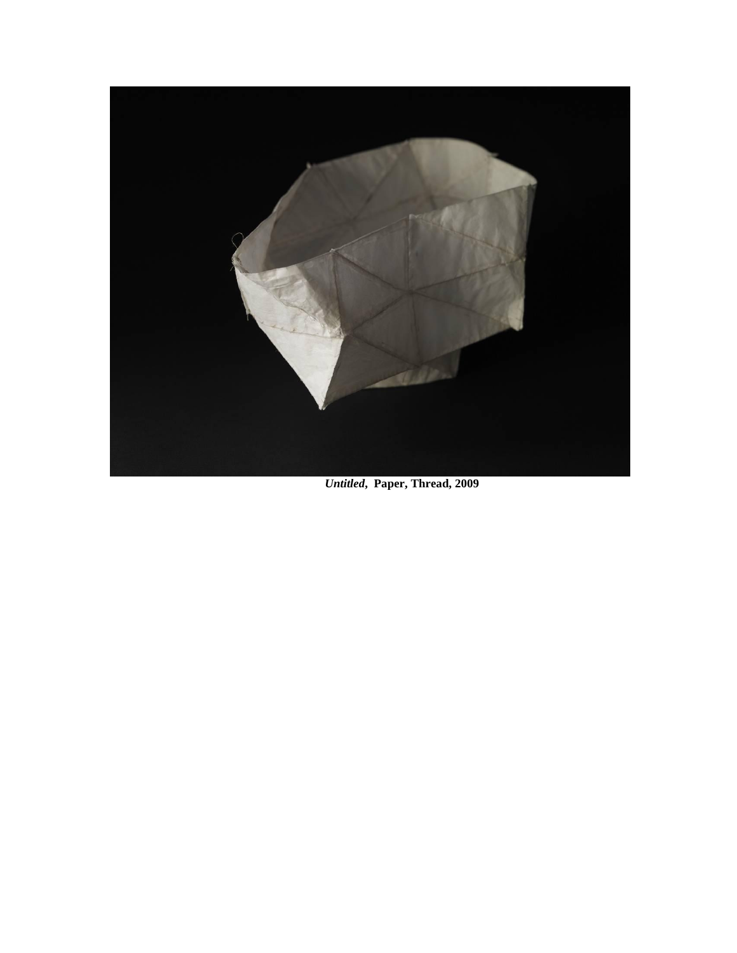

*Untitled***, Paper, Thread, 2009**